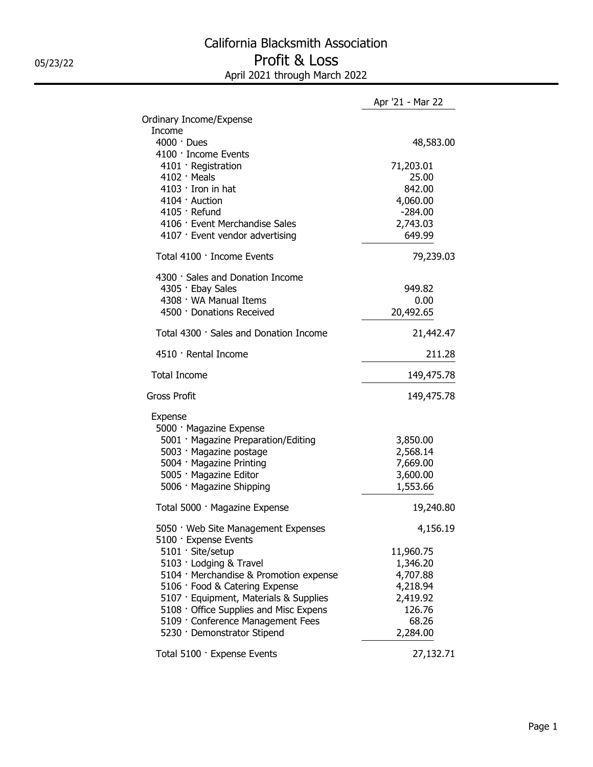|                                                                                                                                                                                                                                                                                                                        | Apr '21 - Mar 22                                                                                           |
|------------------------------------------------------------------------------------------------------------------------------------------------------------------------------------------------------------------------------------------------------------------------------------------------------------------------|------------------------------------------------------------------------------------------------------------|
| Ordinary Income/Expense                                                                                                                                                                                                                                                                                                |                                                                                                            |
| Income<br>$4000 \cdot$ Dues                                                                                                                                                                                                                                                                                            | 48,583.00                                                                                                  |
| 4100 · Income Events<br>4101 · Registration<br>$4102 \cdot$ Meals<br>$4103$ Iron in hat<br>$4104 \cdot$ Auction<br>4105 · Refund<br>4106 · Event Merchandise Sales<br>4107 · Event vendor advertising<br>Total 4100 · Income Events<br>4300 · Sales and Donation Income<br>4305 · Ebay Sales<br>4308 · WA Manual Items | 71,203.01<br>25.00<br>842.00<br>4,060.00<br>$-284.00$<br>2,743.03<br>649.99<br>79,239.03<br>949.82<br>0.00 |
| 4500 · Donations Received                                                                                                                                                                                                                                                                                              | 20,492.65                                                                                                  |
| Total 4300 · Sales and Donation Income                                                                                                                                                                                                                                                                                 | 21,442.47                                                                                                  |
| 4510 · Rental Income                                                                                                                                                                                                                                                                                                   | 211.28                                                                                                     |
| <b>Total Income</b>                                                                                                                                                                                                                                                                                                    | 149,475.78                                                                                                 |
| <b>Gross Profit</b>                                                                                                                                                                                                                                                                                                    | 149,475.78                                                                                                 |
| Expense<br>5000 · Magazine Expense<br>5001 · Magazine Preparation/Editing<br>5003 · Magazine postage<br>5004 · Magazine Printing<br>5005 · Magazine Editor<br>5006 · Magazine Shipping                                                                                                                                 | 3,850.00<br>2,568.14<br>7,669.00<br>3,600.00<br>1,553.66                                                   |
| Total 5000 · Magazine Expense                                                                                                                                                                                                                                                                                          | 19,240.80                                                                                                  |
| 5050 · Web Site Management Expenses<br>5100 · Expense Events                                                                                                                                                                                                                                                           | 4,156.19                                                                                                   |
| 5101 · Site/setup<br>5103 · Lodging & Travel<br>5104 · Merchandise & Promotion expense<br>5106 · Food & Catering Expense<br>5107 · Equipment, Materials & Supplies<br>5108 · Office Supplies and Misc Expens<br>5109 · Conference Management Fees<br>5230 · Demonstrator Stipend                                       | 11,960.75<br>1,346.20<br>4,707.88<br>4,218.94<br>2,419.92<br>126.76<br>68.26<br>2,284.00                   |
| Total 5100 · Expense Events                                                                                                                                                                                                                                                                                            | 27,132.71                                                                                                  |